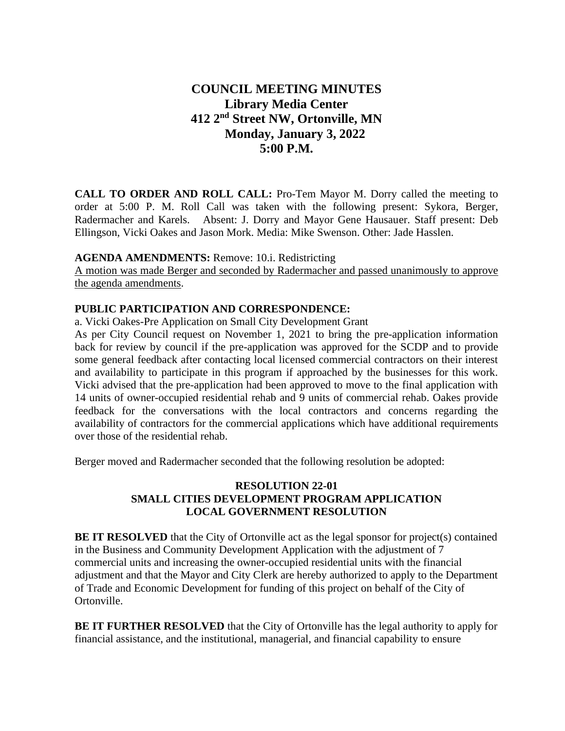# **COUNCIL MEETING MINUTES Library Media Center 412 2nd Street NW, Ortonville, MN Monday, January 3, 2022 5:00 P.M.**

**CALL TO ORDER AND ROLL CALL:** Pro-Tem Mayor M. Dorry called the meeting to order at 5:00 P. M. Roll Call was taken with the following present: Sykora, Berger, Radermacher and Karels. Absent: J. Dorry and Mayor Gene Hausauer. Staff present: Deb Ellingson, Vicki Oakes and Jason Mork. Media: Mike Swenson. Other: Jade Hasslen.

#### **AGENDA AMENDMENTS:** Remove: 10.i. Redistricting

A motion was made Berger and seconded by Radermacher and passed unanimously to approve the agenda amendments.

#### **PUBLIC PARTICIPATION AND CORRESPONDENCE:**

a. Vicki Oakes-Pre Application on Small City Development Grant

As per City Council request on November 1, 2021 to bring the pre-application information back for review by council if the pre-application was approved for the SCDP and to provide some general feedback after contacting local licensed commercial contractors on their interest and availability to participate in this program if approached by the businesses for this work. Vicki advised that the pre-application had been approved to move to the final application with 14 units of owner-occupied residential rehab and 9 units of commercial rehab. Oakes provide feedback for the conversations with the local contractors and concerns regarding the availability of contractors for the commercial applications which have additional requirements over those of the residential rehab.

Berger moved and Radermacher seconded that the following resolution be adopted:

# **RESOLUTION 22-01 SMALL CITIES DEVELOPMENT PROGRAM APPLICATION LOCAL GOVERNMENT RESOLUTION**

**BE IT RESOLVED** that the City of Ortonville act as the legal sponsor for project(s) contained in the Business and Community Development Application with the adjustment of 7 commercial units and increasing the owner-occupied residential units with the financial adjustment and that the Mayor and City Clerk are hereby authorized to apply to the Department of Trade and Economic Development for funding of this project on behalf of the City of Ortonville.

**BE IT FURTHER RESOLVED** that the City of Ortonville has the legal authority to apply for financial assistance, and the institutional, managerial, and financial capability to ensure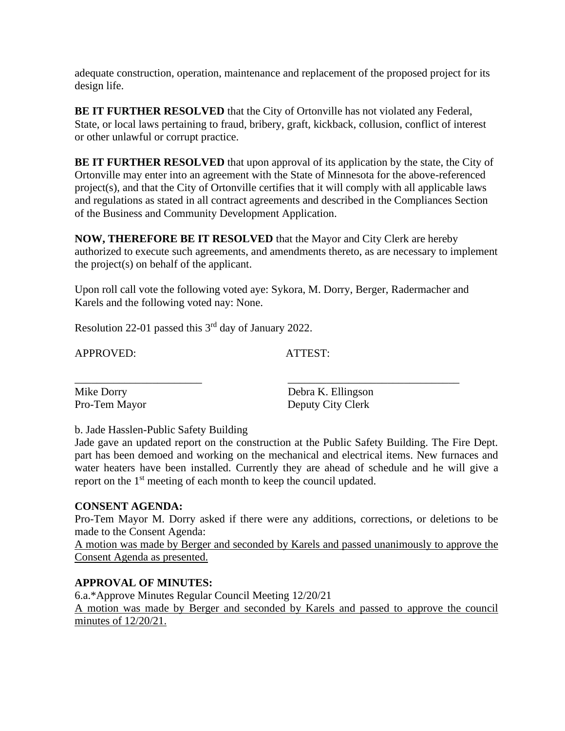adequate construction, operation, maintenance and replacement of the proposed project for its design life.

**BE IT FURTHER RESOLVED** that the City of Ortonville has not violated any Federal, State, or local laws pertaining to fraud, bribery, graft, kickback, collusion, conflict of interest or other unlawful or corrupt practice.

**BE IT FURTHER RESOLVED** that upon approval of its application by the state, the City of Ortonville may enter into an agreement with the State of Minnesota for the above-referenced project(s), and that the City of Ortonville certifies that it will comply with all applicable laws and regulations as stated in all contract agreements and described in the Compliances Section of the Business and Community Development Application.

**NOW, THEREFORE BE IT RESOLVED** that the Mayor and City Clerk are hereby authorized to execute such agreements, and amendments thereto, as are necessary to implement the project(s) on behalf of the applicant.

Upon roll call vote the following voted aye: Sykora, M. Dorry, Berger, Radermacher and Karels and the following voted nay: None.

Resolution 22-01 passed this 3rd day of January 2022.

APPROVED: ATTEST:

\_\_\_\_\_\_\_\_\_\_\_\_\_\_\_\_\_\_\_\_\_\_\_ \_\_\_\_\_\_\_\_\_\_\_\_\_\_\_\_\_\_\_\_\_\_\_\_\_\_\_\_\_\_\_ Mike Dorry Debra K. Ellingson<br>
Pro-Tem Mayor Deputy City Clerk Deputy City Clerk

b. Jade Hasslen-Public Safety Building

Jade gave an updated report on the construction at the Public Safety Building. The Fire Dept. part has been demoed and working on the mechanical and electrical items. New furnaces and water heaters have been installed. Currently they are ahead of schedule and he will give a report on the 1<sup>st</sup> meeting of each month to keep the council updated.

#### **CONSENT AGENDA:**

Pro-Tem Mayor M. Dorry asked if there were any additions, corrections, or deletions to be made to the Consent Agenda:

A motion was made by Berger and seconded by Karels and passed unanimously to approve the Consent Agenda as presented.

# **APPROVAL OF MINUTES:**

6.a.\*Approve Minutes Regular Council Meeting 12/20/21

A motion was made by Berger and seconded by Karels and passed to approve the council minutes of 12/20/21.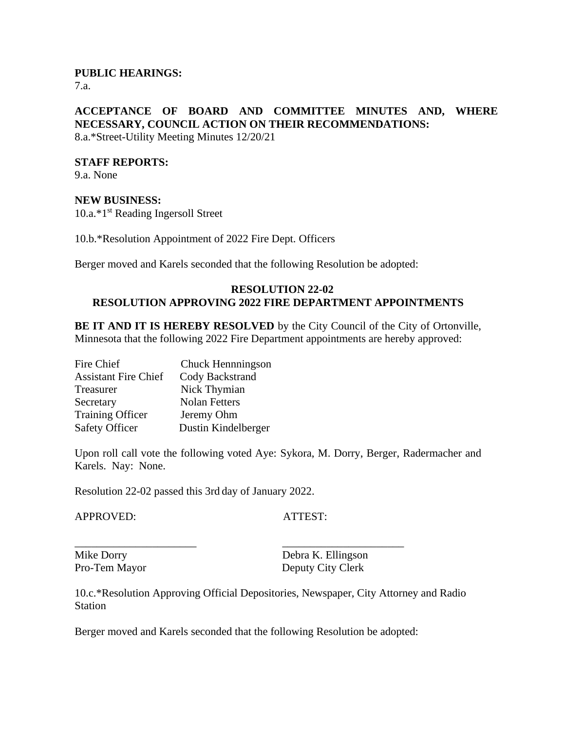# **PUBLIC HEARINGS:**

7.a.

# **ACCEPTANCE OF BOARD AND COMMITTEE MINUTES AND, WHERE NECESSARY, COUNCIL ACTION ON THEIR RECOMMENDATIONS:**

8.a.\*Street-Utility Meeting Minutes 12/20/21

#### **STAFF REPORTS:**

9.a. None

#### **NEW BUSINESS:**

10.a.\*1<sup>st</sup> Reading Ingersoll Street

10.b.\*Resolution Appointment of 2022 Fire Dept. Officers

Berger moved and Karels seconded that the following Resolution be adopted:

#### **RESOLUTION 22-02 RESOLUTION APPROVING 2022 FIRE DEPARTMENT APPOINTMENTS**

**BE IT AND IT IS HEREBY RESOLVED** by the City Council of the City of Ortonville, Minnesota that the following 2022 Fire Department appointments are hereby approved:

| Fire Chief                  | Chuck Hennningson    |
|-----------------------------|----------------------|
| <b>Assistant Fire Chief</b> | Cody Backstrand      |
| Treasurer                   | Nick Thymian         |
| Secretary                   | <b>Nolan Fetters</b> |
| <b>Training Officer</b>     | Jeremy Ohm           |
| <b>Safety Officer</b>       | Dustin Kindelberger  |

Upon roll call vote the following voted Aye: Sykora, M. Dorry, Berger, Radermacher and Karels. Nay: None.

Resolution 22-02 passed this 3rd day of January 2022.

APPROVED: ATTEST:

Mike Dorry Debra K. Ellingson Pro-Tem Mayor Deputy City Clerk

10.c.\*Resolution Approving Official Depositories, Newspaper, City Attorney and Radio **Station** 

Berger moved and Karels seconded that the following Resolution be adopted:

\_\_\_\_\_\_\_\_\_\_\_\_\_\_\_\_\_\_\_\_\_\_ \_\_\_\_\_\_\_\_\_\_\_\_\_\_\_\_\_\_\_\_\_\_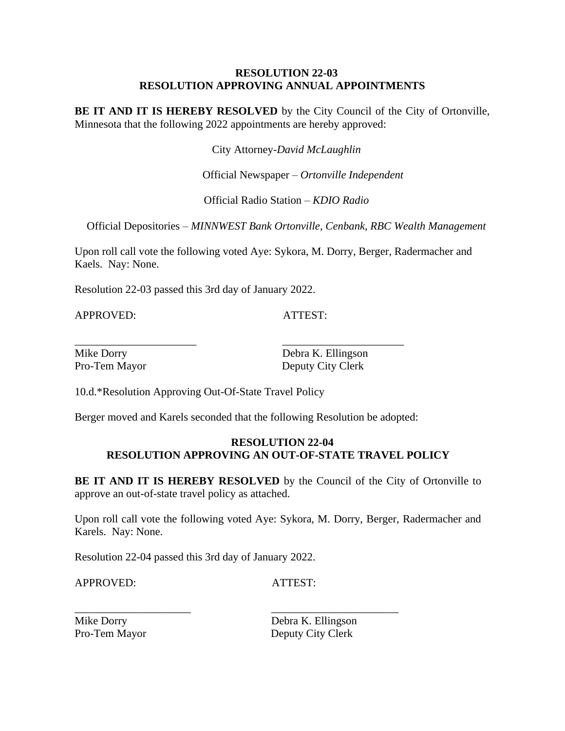#### **RESOLUTION 22-03 RESOLUTION APPROVING ANNUAL APPOINTMENTS**

**BE IT AND IT IS HEREBY RESOLVED** by the City Council of the City of Ortonville, Minnesota that the following 2022 appointments are hereby approved:

City Attorney-*David McLaughlin*

Official Newspaper – *Ortonville Independent*

Official Radio Station – *KDIO Radio*

Official Depositories – *MINNWEST Bank Ortonville, Cenbank, RBC Wealth Management*

Upon roll call vote the following voted Aye: Sykora, M. Dorry, Berger, Radermacher and Kaels. Nay: None.

Resolution 22-03 passed this 3rd day of January 2022.

APPROVED: ATTEST:

\_\_\_\_\_\_\_\_\_\_\_\_\_\_\_\_\_\_\_\_\_\_ \_\_\_\_\_\_\_\_\_\_\_\_\_\_\_\_\_\_\_\_\_\_

Mike Dorry Debra K. Ellingson Pro-Tem Mayor Deputy City Clerk

10.d.\*Resolution Approving Out-Of-State Travel Policy

Berger moved and Karels seconded that the following Resolution be adopted:

#### **RESOLUTION 22-04 RESOLUTION APPROVING AN OUT-OF-STATE TRAVEL POLICY**

**BE IT AND IT IS HEREBY RESOLVED** by the Council of the City of Ortonville to approve an out-of-state travel policy as attached.

Upon roll call vote the following voted Aye: Sykora, M. Dorry, Berger, Radermacher and Karels. Nay: None.

Resolution 22-04 passed this 3rd day of January 2022.

APPROVED: ATTEST:

\_\_\_\_\_\_\_\_\_\_\_\_\_\_\_\_\_\_\_\_\_ \_\_\_\_\_\_\_\_\_\_\_\_\_\_\_\_\_\_\_\_\_\_\_

Mike Dorry Debra K. Ellingson Pro-Tem Mayor Deputy City Clerk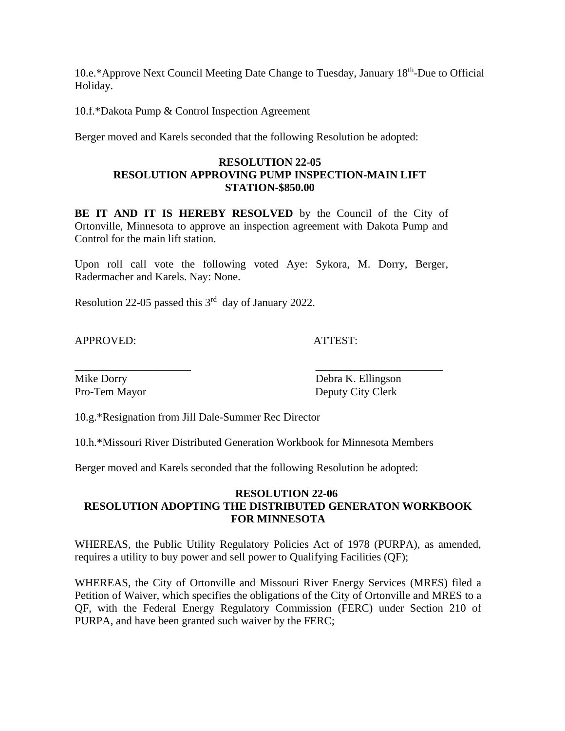10.e.\*Approve Next Council Meeting Date Change to Tuesday, January 18<sup>th</sup>-Due to Official Holiday.

10.f.\*Dakota Pump & Control Inspection Agreement

Berger moved and Karels seconded that the following Resolution be adopted:

# **RESOLUTION 22-05 RESOLUTION APPROVING PUMP INSPECTION-MAIN LIFT STATION-\$850.00**

BE IT AND IT IS HEREBY RESOLVED by the Council of the City of Ortonville, Minnesota to approve an inspection agreement with Dakota Pump and Control for the main lift station.

Upon roll call vote the following voted Aye: Sykora, M. Dorry, Berger, Radermacher and Karels. Nay: None.

Resolution 22-05 passed this  $3<sup>rd</sup>$  day of January 2022.

APPROVED: ATTEST:

Mike Dorry Debra K. Ellingson Pro-Tem Mayor Deputy City Clerk

10.g.\*Resignation from Jill Dale-Summer Rec Director

10.h.\*Missouri River Distributed Generation Workbook for Minnesota Members

\_\_\_\_\_\_\_\_\_\_\_\_\_\_\_\_\_\_\_\_\_ \_\_\_\_\_\_\_\_\_\_\_\_\_\_\_\_\_\_\_\_\_\_\_

Berger moved and Karels seconded that the following Resolution be adopted:

# **RESOLUTION 22-06 RESOLUTION ADOPTING THE DISTRIBUTED GENERATON WORKBOOK FOR MINNESOTA**

WHEREAS, the Public Utility Regulatory Policies Act of 1978 (PURPA), as amended, requires a utility to buy power and sell power to Qualifying Facilities (QF);

WHEREAS, the City of Ortonville and Missouri River Energy Services (MRES) filed a Petition of Waiver, which specifies the obligations of the City of Ortonville and MRES to a QF, with the Federal Energy Regulatory Commission (FERC) under Section 210 of PURPA, and have been granted such waiver by the FERC;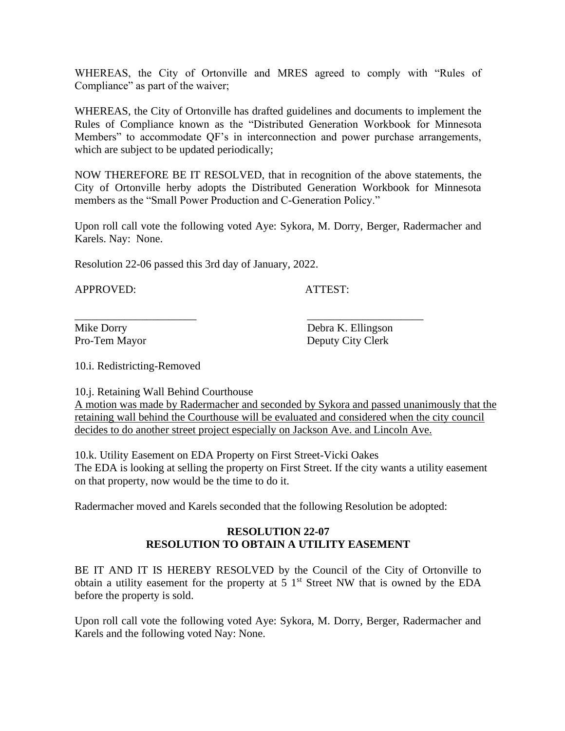WHEREAS, the City of Ortonville and MRES agreed to comply with "Rules of Compliance" as part of the waiver;

WHEREAS, the City of Ortonville has drafted guidelines and documents to implement the Rules of Compliance known as the "Distributed Generation Workbook for Minnesota Members" to accommodate QF's in interconnection and power purchase arrangements, which are subject to be updated periodically;

NOW THEREFORE BE IT RESOLVED, that in recognition of the above statements, the City of Ortonville herby adopts the Distributed Generation Workbook for Minnesota members as the "Small Power Production and C-Generation Policy."

Upon roll call vote the following voted Aye: Sykora, M. Dorry, Berger, Radermacher and Karels. Nay: None.

Resolution 22-06 passed this 3rd day of January, 2022.

APPROVED: ATTEST:

Mike Dorry Debra K. Ellingson Pro-Tem Mayor Deputy City Clerk

10.i. Redistricting-Removed

10.j. Retaining Wall Behind Courthouse A motion was made by Radermacher and seconded by Sykora and passed unanimously that the retaining wall behind the Courthouse will be evaluated and considered when the city council

\_\_\_\_\_\_\_\_\_\_\_\_\_\_\_\_\_\_\_\_\_\_ \_\_\_\_\_\_\_\_\_\_\_\_\_\_\_\_\_\_\_\_\_

decides to do another street project especially on Jackson Ave. and Lincoln Ave.

10.k. Utility Easement on EDA Property on First Street-Vicki Oakes The EDA is looking at selling the property on First Street. If the city wants a utility easement on that property, now would be the time to do it.

Radermacher moved and Karels seconded that the following Resolution be adopted:

# **RESOLUTION 22-07 RESOLUTION TO OBTAIN A UTILITY EASEMENT**

BE IT AND IT IS HEREBY RESOLVED by the Council of the City of Ortonville to obtain a utility easement for the property at  $5\,1^{st}$  Street NW that is owned by the EDA before the property is sold.

Upon roll call vote the following voted Aye: Sykora, M. Dorry, Berger, Radermacher and Karels and the following voted Nay: None.